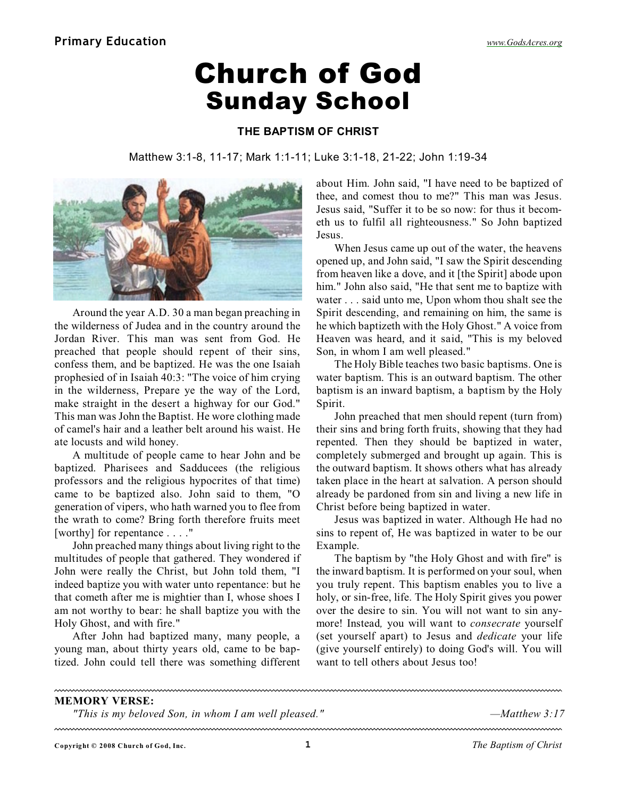## Church of God Sunday School

## **THE BAPTISM OF CHRIST**

Matthew 3:1-8, 11-17; Mark 1:1-11; Luke 3:1-18, 21-22; John 1:19-34



Around the year A.D. 30 a man began preaching in the wilderness of Judea and in the country around the Jordan River. This man was sent from God. He preached that people should repent of their sins, confess them, and be baptized. He was the one Isaiah prophesied of in Isaiah 40:3: "The voice of him crying in the wilderness, Prepare ye the way of the Lord, make straight in the desert a highway for our God." This man was John the Baptist. He wore clothing made of camel's hair and a leather belt around his waist. He ate locusts and wild honey.

A multitude of people came to hear John and be baptized. Pharisees and Sadducees (the religious professors and the religious hypocrites of that time) came to be baptized also. John said to them, "O generation of vipers, who hath warned you to flee from the wrath to come? Bring forth therefore fruits meet [worthy] for repentance . . . ."

John preached many things about living right to the multitudes of people that gathered. They wondered if John were really the Christ, but John told them, "I indeed baptize you with water unto repentance: but he that cometh after me is mightier than I, whose shoes I am not worthy to bear: he shall baptize you with the Holy Ghost, and with fire."

After John had baptized many, many people, a young man, about thirty years old, came to be baptized. John could tell there was something different

about Him. John said, "I have need to be baptized of thee, and comest thou to me?" This man was Jesus. Jesus said, "Suffer it to be so now: for thus it becometh us to fulfil all righteousness." So John baptized Jesus.

When Jesus came up out of the water, the heavens opened up, and John said, "I saw the Spirit descending from heaven like a dove, and it [the Spirit] abode upon him." John also said, "He that sent me to baptize with water . . . said unto me, Upon whom thou shalt see the Spirit descending, and remaining on him, the same is he which baptizeth with the Holy Ghost." A voice from Heaven was heard, and it said, "This is my beloved Son, in whom I am well pleased."

The Holy Bible teaches two basic baptisms. One is water baptism. This is an outward baptism. The other baptism is an inward baptism, a baptism by the Holy Spirit.

John preached that men should repent (turn from) their sins and bring forth fruits, showing that they had repented. Then they should be baptized in water, completely submerged and brought up again. This is the outward baptism. It shows others what has already taken place in the heart at salvation. A person should already be pardoned from sin and living a new life in Christ before being baptized in water.

Jesus was baptized in water. Although He had no sins to repent of, He was baptized in water to be our Example.

The baptism by "the Holy Ghost and with fire" is the inward baptism. It is performed on your soul, when you truly repent. This baptism enables you to live a holy, or sin-free, life. The Holy Spirit gives you power over the desire to sin. You will not want to sin anymore! Instead*,* you will want to *consecrate* yourself (set yourself apart) to Jesus and *dedicate* your life (give yourself entirely) to doing God's will. You will want to tell others about Jesus too!

## **MEMORY VERSE:**

*"This is my beloved Son, in whom I am well pleased." —Matthew 3:17*

**Copyright © 2008 Church of God, Inc. 1** *The Baptism of Christ*

<u>mmmmmmmmmmmm</u>